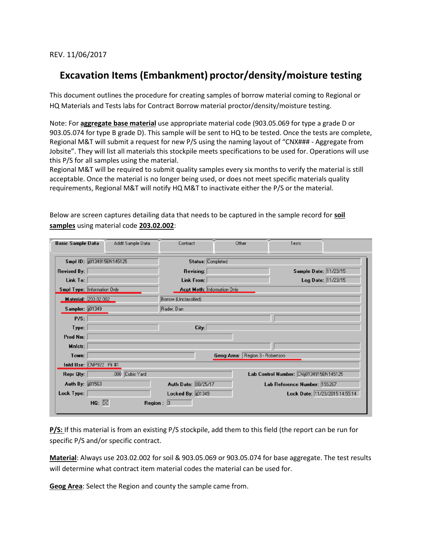REV. 11/06/2017

## **Excavation Items (Embankment) proctor/density/moisture testing**

This document outlines the procedure for creating samples of borrow material coming to Regional or HQ Materials and Tests labs for Contract Borrow material proctor/density/moisture testing.

Note: For **aggregate base material** use appropriate material code (903.05.069 for type a grade D or 903.05.074 for type B grade D). This sample will be sent to HQ to be tested. Once the tests are complete, Regional M&T will submit a request for new P/S using the naming layout of "CNX### - Aggregate from Jobsite". They will list all materials this stockpile meets specifications to be used for. Operations will use this P/S for all samples using the material.

Regional M&T will be required to submit quality samples every six months to verify the material is still acceptable. Once the material is no longer being used, or does not meet specific materials quality requirements, Regional M&T will notify HQ M&T to inactivate either the P/S or the material.

| <b>Basic Sample Data</b>                         | Addtl Sample Data  | Contract                           | Other                           | Tests                                   |  |
|--------------------------------------------------|--------------------|------------------------------------|---------------------------------|-----------------------------------------|--|
| Smpl ID: (i0134915BN145125)<br>Status: Completed |                    |                                    |                                 |                                         |  |
| <b>Revised By:</b>                               |                    | <b>Revising:</b>                   |                                 | Sample Date: 11/23/15                   |  |
| Link To:                                         |                    | Link From:                         |                                 | Log Date: 11/23/15                      |  |
| Smpl Type: Information Only                      |                    | <b>Acpt Meth: Information Only</b> |                                 |                                         |  |
| <b>Material: 203.02.002</b>                      |                    | Borrow (Unclassified)              |                                 |                                         |  |
| <b>Sampler: 01349</b>                            |                    | Rader, Dan                         |                                 |                                         |  |
| P/S:                                             |                    |                                    |                                 |                                         |  |
| Type:                                            |                    | City:                              |                                 |                                         |  |
| Prod Nm:                                         |                    |                                    |                                 |                                         |  |
| Mnfctr:                                          |                    |                                    |                                 |                                         |  |
| Town:                                            |                    |                                    | Geog Area: Region 3 - Robertson |                                         |  |
| Intd Use: CNP922 Pit #1                          |                    |                                    |                                 |                                         |  |
| Repr Qty:                                        | Cubic Yard<br>.000 |                                    |                                 | Lab Control Number: CNij0134915BN145125 |  |
| Auth By:   101563                                |                    | Auth Date: 08/25/17                |                                 | Lab Reference Number: 159267            |  |
| Lock Type:                                       |                    | Locked By: [101349]                |                                 | Lock Date: 11/23/2015 14:55:14          |  |
| HQ: $\boxtimes$                                  |                    | Region: $ 3 $                      |                                 |                                         |  |

Below are screen captures detailing data that needs to be captured in the sample record for **soil samples** using material code **203.02.002**:

**P/S:** If this material is from an existing P/S stockpile, add them to this field (the report can be run for specific P/S and/or specific contract.

**Material**: Always use 203.02.002 for soil & 903.05.069 or 903.05.074 for base aggregate. The test results will determine what contract item material codes the material can be used for.

**Geog Area**: Select the Region and county the sample came from.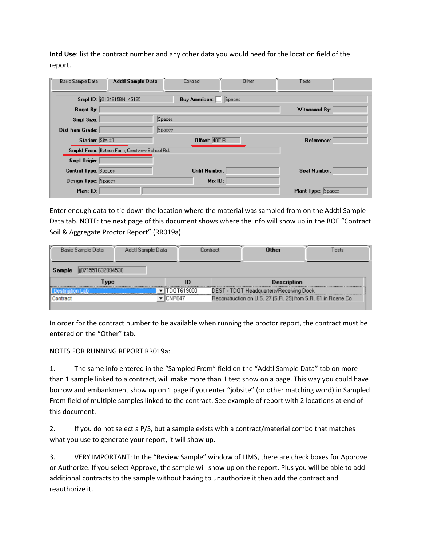**Intd Use**: list the contract number and any other data you would need for the location field of the report.

| Addtl Sample Data<br>Basic Sample Data        | Contract             | Other  | Tests                     |
|-----------------------------------------------|----------------------|--------|---------------------------|
| Smpl ID: ((0134915BN145125)                   | Buy American: I      | Spaces |                           |
| Regst By:                                     |                      |        | Witnessed By:             |
| Smpl Size:                                    | Spaces               |        |                           |
| <b>Dist from Grade:</b>                       | Spaces               |        |                           |
| Station: Site #1                              | <b>Offset: 400 R</b> |        | Reference:                |
| Smpld From: Batson Farm, Crestview School Rd. |                      |        |                           |
| Smpl Origin:                                  |                      |        |                           |
| <b>Control Type: Spaces</b>                   | <b>Cntrl Number:</b> |        | Seal Number:              |
| <b>Design Type: Spaces</b>                    | Mix ID:              |        |                           |
| Plant ID:                                     |                      |        | <b>Plant Type: Spaces</b> |

Enter enough data to tie down the location where the material was sampled from on the Addtl Sample Data tab. NOTE: the next page of this document shows where the info will show up in the BOE "Contract Soil & Aggregate Proctor Report" (RR019a)

| Basic Sample Data                                 | Addtl Sample Data |  | .ontract                                                     | ∐ther | ests |
|---------------------------------------------------|-------------------|--|--------------------------------------------------------------|-------|------|
| 1551632094530                                     |                   |  |                                                              |       |      |
| <b>Description</b><br>ype                         |                   |  |                                                              |       |      |
| DEST - TDOT Headquarters/Receiving Dock<br>619000 |                   |  |                                                              |       |      |
|                                                   |                   |  | Reconstruction on U.S. 27 (S.R. 29) from S.R. 61 in Roane Co |       |      |
|                                                   |                   |  |                                                              |       |      |

In order for the contract number to be available when running the proctor report, the contract must be entered on the "Other" tab.

NOTES FOR RUNNING REPORT RR019a:

1. The same info entered in the "Sampled From" field on the "Addtl Sample Data" tab on more than 1 sample linked to a contract, will make more than 1 test show on a page. This way you could have borrow and embankment show up on 1 page if you enter "jobsite" (or other matching word) in Sampled From field of multiple samples linked to the contract. See example of report with 2 locations at end of this document.

2. If you do not select a P/S, but a sample exists with a contract/material combo that matches what you use to generate your report, it will show up.

3. VERY IMPORTANT: In the "Review Sample" window of LIMS, there are check boxes for Approve or Authorize. If you select Approve, the sample will show up on the report. Plus you will be able to add additional contracts to the sample without having to unauthorize it then add the contract and reauthorize it.